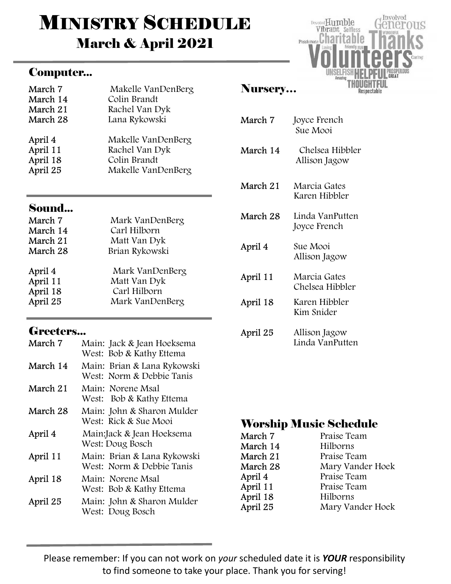# **MINISTRY SCHEDULE** March & April 2021

#### Computer...

| March 7  | Makelle VanDenBerg |
|----------|--------------------|
| March 14 | Colin Brandt       |
| March 21 | Rachel Van Dyk     |
| March 28 | Lana Rykowski      |
| April 4  | Makelle VanDenBerg |
| April 11 | Rachel Van Dyk     |
| April 18 | Colin Brandt       |
| April 25 | Makelle VanDenBerg |

#### Sound...

| March 7  | Mark VanDenBerg |
|----------|-----------------|
| March 14 | Carl Hilborn    |
| March 21 | Matt Van Dyk    |
| March 28 | Brian Rykowski  |
| April 4  | Mark VanDenBerg |
| April 11 | Matt Van Dyk    |
| April 18 | Carl Hilborn    |
| April 25 | Mark VanDenBerg |

### Greeters...

| March 7  | Main: Jack & Jean Hoeksema<br>West: Bob & Kathy Ettema   |
|----------|----------------------------------------------------------|
| March 14 | Main: Brian & Lana Rykowski<br>West: Norm & Debbie Tanis |
| March 21 | Main: Norene Msal<br>West: Bob & Kathy Ettema            |
| March 28 | Main: John & Sharon Mulder<br>West: Rick & Sue Mooi      |
| April 4  | Main:Jack & Jean Hoeksema<br>West: Doug Bosch            |
| April 11 | Main: Brian & Lana Rykowski<br>West: Norm & Debbie Tanis |
| April 18 | Main: Norene Msal<br>West: Bob & Kathy Ettema            |
| April 25 | Main: John & Sharon Mulder<br>West: Doug Bosch           |

### Nursery…

| March 7  | Joyce French<br>Sue Mooi         |
|----------|----------------------------------|
| March 14 | Chelsea Hibbler<br>Allison Jagow |
| March 21 | Marcia Gates<br>Karen Hibbler    |
| March 28 | Linda VanPutten<br>Joyce French  |
| April 4  | Sue Mooi<br>Allison Jagow        |
| April 11 | Marcia Gates<br>Chelsea Hibbler  |
| April 18 | Karen Hibbler<br>Kim Snider      |
| April 25 | Allison Jagow<br>Linda VanPutten |

Involved

Respectable

US

Devoted Humble

Vibrant Selfless Passionate Charitable

#### Worship Music Schedule

| March 7  | Praise Team      |
|----------|------------------|
| March 14 | Hilborns         |
| March 21 | Praise Team      |
| March 28 | Mary Vander Hoek |
| April 4  | Praise Team      |
| April 11 | Praise Team      |
| April 18 | Hilborns         |
| April 25 | Mary Vander Hoek |

Please remember: If you can not work on your scheduled date it is YOUR responsibility to find someone to take your place. Thank you for serving!